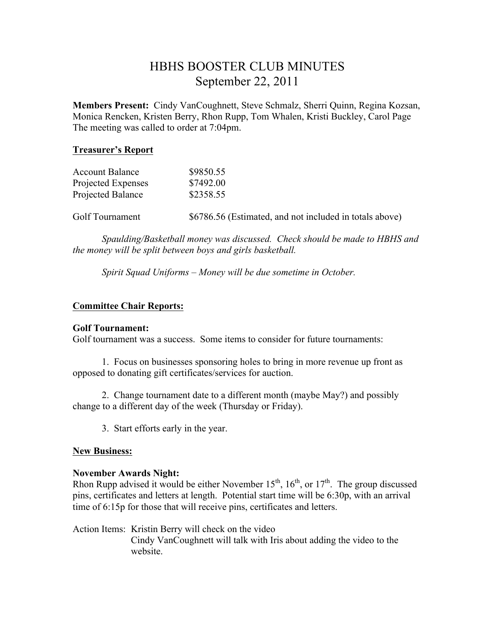# HBHS BOOSTER CLUB MINUTES September 22, 2011

**Members Present:** Cindy VanCoughnett, Steve Schmalz, Sherri Quinn, Regina Kozsan, Monica Rencken, Kristen Berry, Rhon Rupp, Tom Whalen, Kristi Buckley, Carol Page The meeting was called to order at 7:04pm.

## **Treasurer's Report**

| <b>Account Balance</b><br>Projected Expenses | \$9850.55<br>\$7492.00                                  |
|----------------------------------------------|---------------------------------------------------------|
| Projected Balance                            | \$2358.55                                               |
| Golf Tournament                              | \$6786.56 (Estimated, and not included in totals above) |

*Spaulding/Basketball money was discussed. Check should be made to HBHS and the money will be split between boys and girls basketball.*

*Spirit Squad Uniforms – Money will be due sometime in October.*

## **Committee Chair Reports:**

#### **Golf Tournament:**

Golf tournament was a success. Some items to consider for future tournaments:

1. Focus on businesses sponsoring holes to bring in more revenue up front as opposed to donating gift certificates/services for auction.

2. Change tournament date to a different month (maybe May?) and possibly change to a different day of the week (Thursday or Friday).

3. Start efforts early in the year.

#### **New Business:**

#### **November Awards Night:**

Rhon Rupp advised it would be either November  $15^{th}$ ,  $16^{th}$ , or  $17^{th}$ . The group discussed pins, certificates and letters at length. Potential start time will be 6:30p, with an arrival time of 6:15p for those that will receive pins, certificates and letters.

Action Items: Kristin Berry will check on the video Cindy VanCoughnett will talk with Iris about adding the video to the website.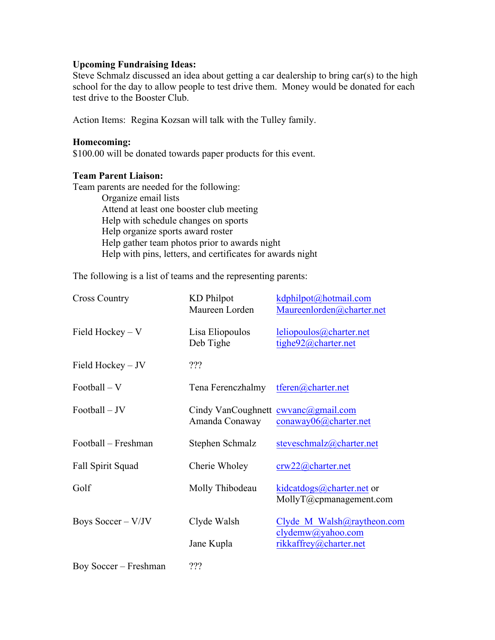## **Upcoming Fundraising Ideas:**

Steve Schmalz discussed an idea about getting a car dealership to bring car(s) to the high school for the day to allow people to test drive them. Money would be donated for each test drive to the Booster Club.

Action Items: Regina Kozsan will talk with the Tulley family.

#### **Homecoming:**

\$100.00 will be donated towards paper products for this event.

#### **Team Parent Liaison:**

Team parents are needed for the following: Organize email lists Attend at least one booster club meeting Help with schedule changes on sports Help organize sports award roster Help gather team photos prior to awards night

Help with pins, letters, and certificates for awards night

The following is a list of teams and the representing parents:

| <b>Cross Country</b>  | <b>KD</b> Philpot<br>Maureen Lorden                     | kdphilpot@hotmail.com<br>Maureenlorden@charter.net   |
|-----------------------|---------------------------------------------------------|------------------------------------------------------|
| Field Hockey $-V$     | Lisa Eliopoulos<br>Deb Tighe                            | leliopoulos@charter.net<br>tighe92@charter.net       |
| Field Hockey - JV     | ???                                                     |                                                      |
| Football - V          | Tena Ferenczhalmy                                       | tferen@charter.net                                   |
| Football – JV         | Cindy VanCoughnett $cwvanc@gmail.com$<br>Amanda Conaway | conaway06@charter.net                                |
| Football – Freshman   | Stephen Schmalz                                         | steveschmalz@charter.net                             |
| Fall Spirit Squad     | Cherie Wholey                                           | crw22@charter.net                                    |
| Golf                  | Molly Thibodeau                                         | kidcatdogs@charter.net or<br>MollyT@cpmanagement.com |
| Boys Soccer $-V/JV$   | Clyde Walsh                                             | Clyde M Walsh@raytheon.com<br>clydemw@yahoo.com      |
|                       | Jane Kupla                                              | rikkaffrey@charter.net                               |
| Boy Soccer – Freshman | ???                                                     |                                                      |